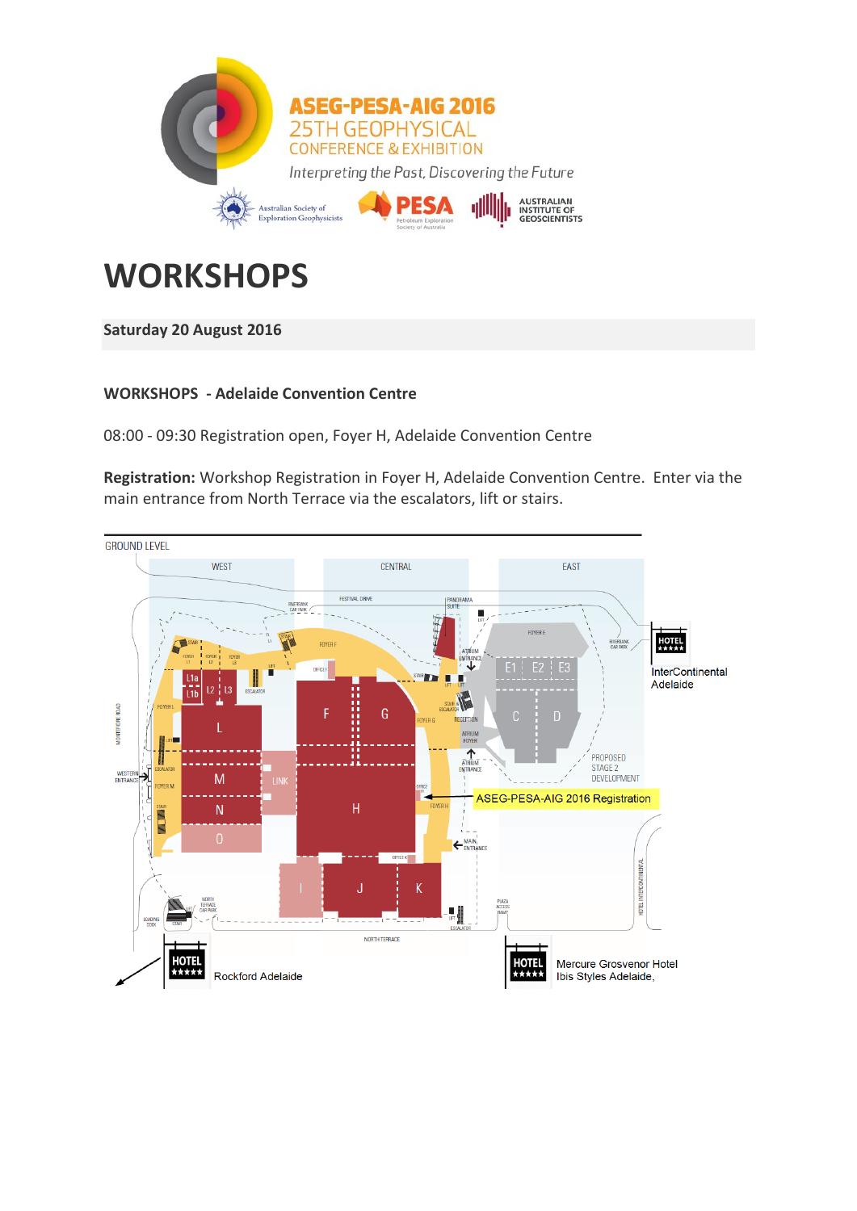

# **WORKSHOPS**

## **Saturday 20 August 2016**

## **WORKSHOPS - Adelaide Convention Centre**

08:00 - 09:30 Registration open, Foyer H, Adelaide Convention Centre

**Registration:** Workshop Registration in Foyer H, Adelaide Convention Centre. Enter via the main entrance from North Terrace via the escalators, lift or stairs.

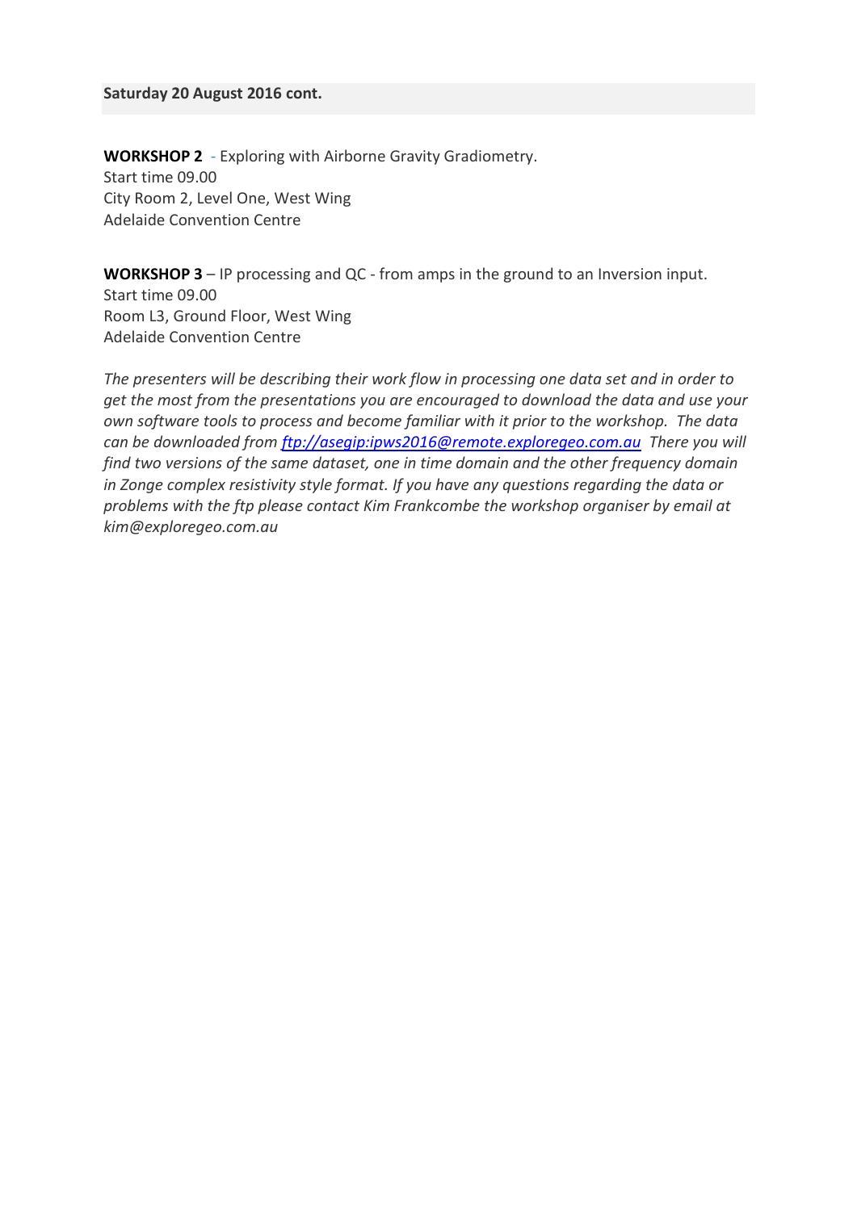#### **Saturday 20 August 2016 cont.**

**[WORKSHOP 2](http://conference.aseg.org.au/workshops.html#w2)** - Exploring with Airborne Gravity Gradiometry. Start time 09.00 City Room 2, Level One, West Wing Adelaide Convention Centre

**[WORKSHOP 3](http://conference.aseg.org.au/workshops.html#w3)** – IP processing and QC - from amps in the ground to an Inversion input. Start time 09.00 Room L3, Ground Floor, West Wing Adelaide Convention Centre

*The presenters will be describing their work flow in processing one data set and in order to get the most from the presentations you are encouraged to download the data and use your own software tools to process and become familiar with it prior to the workshop. The data can be downloaded from [ftp://asegip:ipws2016@remote.exploregeo.com.au](ftp://asegip:ipws2016@remote.exploregeo.com.au/) There you will find two versions of the same dataset, one in time domain and the other frequency domain in Zonge complex resistivity style format. If you have any questions regarding the data or problems with the ftp please contact Kim Frankcombe the workshop organiser by email at kim@exploregeo.com.au*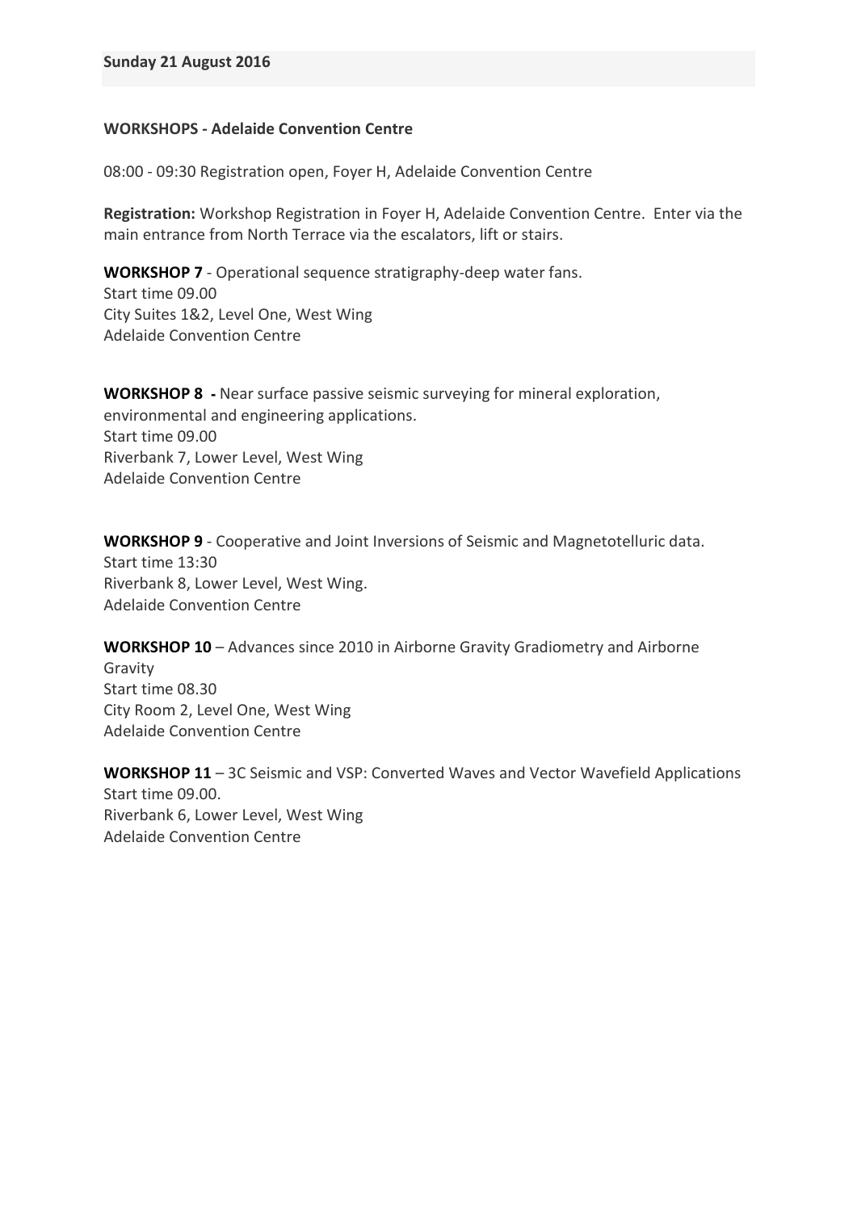### **WORKSHOPS - Adelaide Convention Centre**

08:00 - 09:30 Registration open, Foyer H, Adelaide Convention Centre

**Registration:** Workshop Registration in Foyer H, Adelaide Convention Centre. Enter via the main entrance from North Terrace via the escalators, lift or stairs.

**[WORKSHOP 7](http://conference.aseg.org.au/workshops.html#w7)** - Operational sequence stratigraphy-deep water fans. Start time 09.00 City Suites 1&2, Level One, West Wing Adelaide Convention Centre

**[WORKSHOP](http://conference.aseg.org.au/workshops.html#w8) 8 -** Near surface passive seismic surveying for mineral exploration, environmental and engineering applications. Start time 09.00 Riverbank 7, Lower Level, West Wing Adelaide Convention Centre

**[WORKSHOP 9](http://conference.aseg.org.au/workshops.html#w9)** - Cooperative and Joint Inversions of Seismic and Magnetotelluric data. Start time 13:30 Riverbank 8, Lower Level, West Wing. Adelaide Convention Centre

**[WORKSHOP 10](http://conference.aseg.org.au/workshops.html#w10)** – Advances since 2010 in Airborne Gravity Gradiometry and Airborne Gravity Start time 08.30 City Room 2, Level One, West Wing Adelaide Convention Centre

**[WORKSHOP](http://conference.aseg.org.au/workshops.html#w11) 11** – 3C Seismic and VSP: Converted Waves and Vector Wavefield Applications Start time 09.00. Riverbank 6, Lower Level, West Wing Adelaide Convention Centre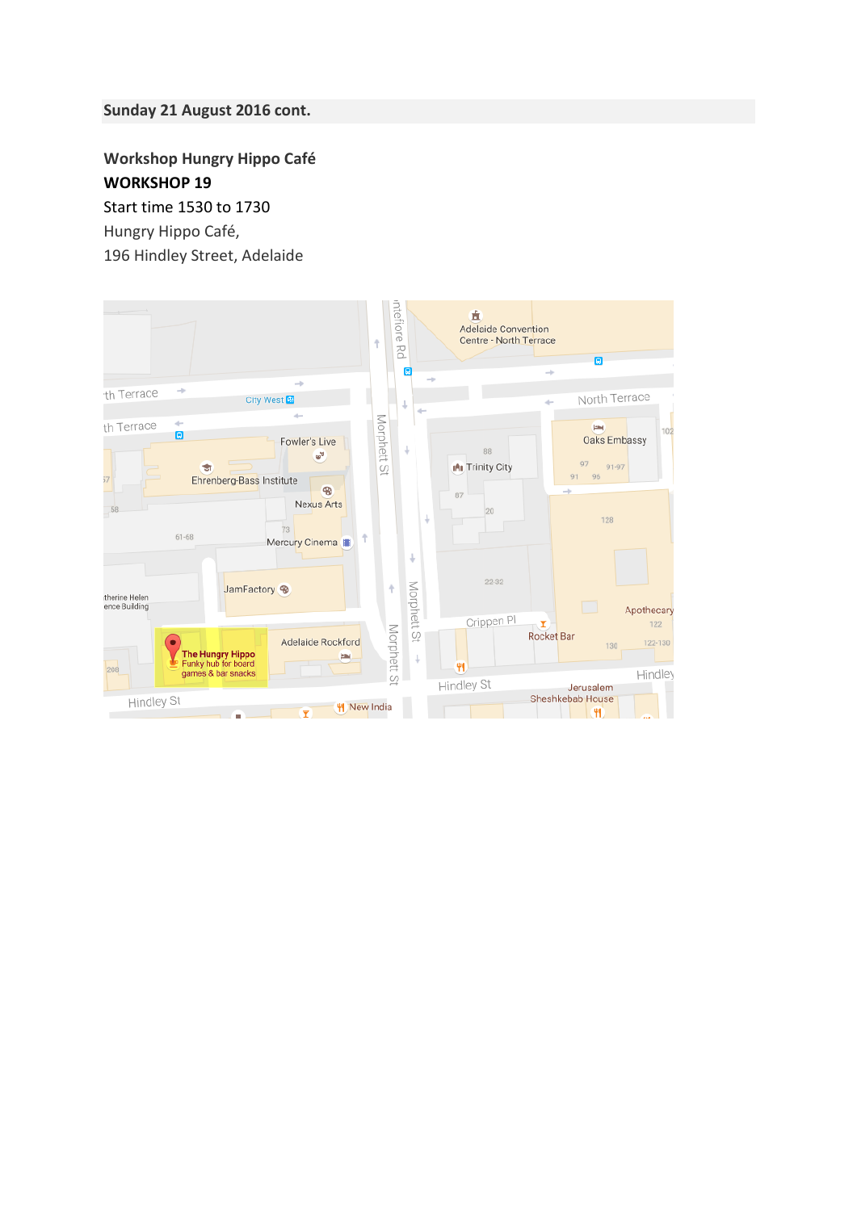### **Sunday 21 August 2016 cont.**

**Workshop Hungry Hippo Café [WORKSHOP](http://conference.aseg.org.au/workshops.html#w19) 19**

[Start time 1530 to 1730](http://conference.aseg.org.au/workshops.html#w19)

Hungry Hippo Café,

196 Hindley Street, Adelaide

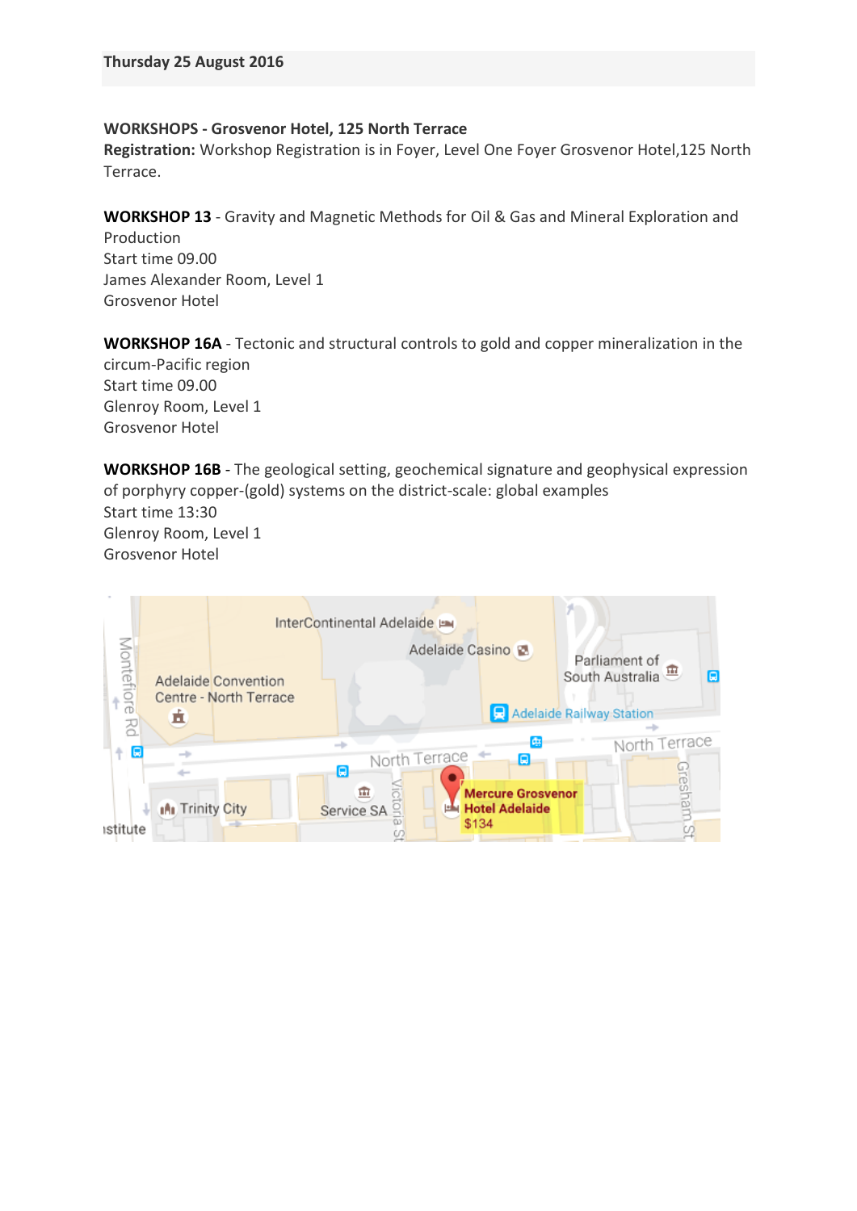#### **WORKSHOPS - Grosvenor Hotel, 125 North Terrace**

**Registration:** Workshop Registration is in Foyer, Level One Foyer Grosvenor Hotel,125 North Terrace.

**[WORKSHOP 13](http://conference.aseg.org.au/workshops.html#w13)** - Gravity and Magnetic Methods for Oil & Gas and Mineral Exploration and

Production Start time 09.00 James Alexander Room, Level 1 Grosvenor Hotel

**[WORKSHOP](http://conference.aseg.org.au/workshops.html#w16) 16A** - Tectonic and structural controls to gold and copper mineralization in the circum-Pacific region Start time 09.00 Glenroy Room, Level 1 Grosvenor Hotel

**[WORKSHOP](http://conference.aseg.org.au/workshops.html#w17) 16B** - The geological setting, geochemical signature and geophysical expression of porphyry copper-(gold) systems on the district-scale: global examples Start time 13:30 Glenroy Room, Level 1 Grosvenor Hotel